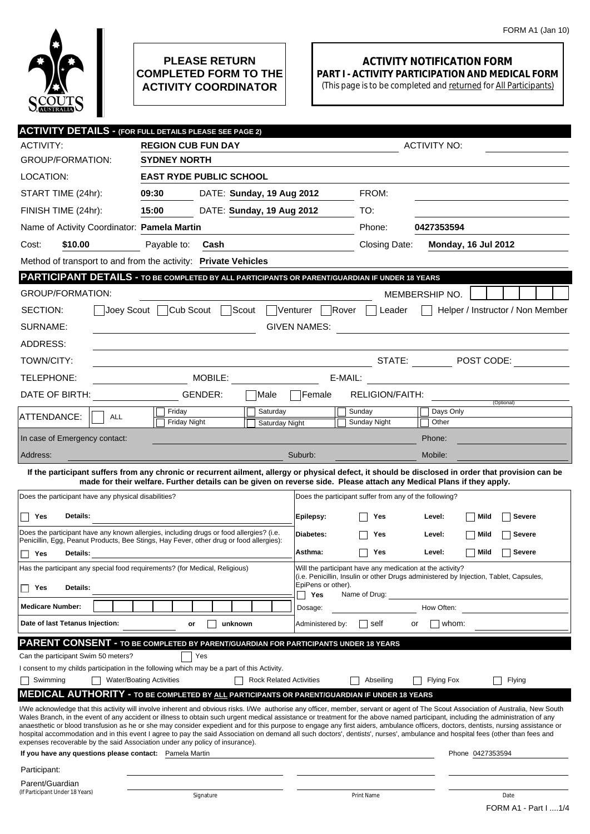

## **PLEASE RETURN COMPLETED FORM TO THE ACTIVITY COORDINATOR**

## **ACTIVITY NOTIFICATION FORM PART I - ACTIVITY PARTICIPATION AND MEDICAL FORM**

(This page is to be completed and returned for All Participants)

| <b>ACTIVITY DETAILS - (FOR FULL DETAILS PLEASE SEE PAGE 2)</b>                                                                                                                                                                                                                                                                                                                                                                                                                                                                                                                                                                                                                                                                                 |                                                                                                                      |                                |                     |                                                        |                               |                   |  |  |
|------------------------------------------------------------------------------------------------------------------------------------------------------------------------------------------------------------------------------------------------------------------------------------------------------------------------------------------------------------------------------------------------------------------------------------------------------------------------------------------------------------------------------------------------------------------------------------------------------------------------------------------------------------------------------------------------------------------------------------------------|----------------------------------------------------------------------------------------------------------------------|--------------------------------|---------------------|--------------------------------------------------------|-------------------------------|-------------------|--|--|
| ACTIVITY:                                                                                                                                                                                                                                                                                                                                                                                                                                                                                                                                                                                                                                                                                                                                      | <b>REGION CUB FUN DAY</b>                                                                                            |                                | <b>ACTIVITY NO:</b> |                                                        |                               |                   |  |  |
| <b>GROUP/FORMATION:</b>                                                                                                                                                                                                                                                                                                                                                                                                                                                                                                                                                                                                                                                                                                                        | <b>SYDNEY NORTH</b>                                                                                                  |                                |                     |                                                        |                               |                   |  |  |
| LOCATION:                                                                                                                                                                                                                                                                                                                                                                                                                                                                                                                                                                                                                                                                                                                                      | <b>EAST RYDE PUBLIC SCHOOL</b>                                                                                       |                                |                     |                                                        |                               |                   |  |  |
| START TIME (24hr):                                                                                                                                                                                                                                                                                                                                                                                                                                                                                                                                                                                                                                                                                                                             | 09:30                                                                                                                | DATE: Sunday, 19 Aug 2012      |                     | FROM:                                                  |                               |                   |  |  |
| FINISH TIME (24hr):                                                                                                                                                                                                                                                                                                                                                                                                                                                                                                                                                                                                                                                                                                                            | 15:00                                                                                                                | DATE: Sunday, 19 Aug 2012      |                     | TO:                                                    |                               |                   |  |  |
| Name of Activity Coordinator: Pamela Martin                                                                                                                                                                                                                                                                                                                                                                                                                                                                                                                                                                                                                                                                                                    |                                                                                                                      |                                |                     | Phone:                                                 | 0427353594                    |                   |  |  |
| \$10.00<br>Cost:                                                                                                                                                                                                                                                                                                                                                                                                                                                                                                                                                                                                                                                                                                                               | Payable to:<br>Cash                                                                                                  |                                |                     | Closing Date:                                          | <b>Monday, 16 Jul 2012</b>    |                   |  |  |
| Method of transport to and from the activity: Private Vehicles                                                                                                                                                                                                                                                                                                                                                                                                                                                                                                                                                                                                                                                                                 |                                                                                                                      |                                |                     |                                                        |                               |                   |  |  |
| PARTICIPANT DETAILS - TO BE COMPLETED BY ALL PARTICIPANTS OR PARENT/GUARDIAN IF UNDER 18 YEARS                                                                                                                                                                                                                                                                                                                                                                                                                                                                                                                                                                                                                                                 |                                                                                                                      |                                |                     |                                                        |                               |                   |  |  |
| <b>GROUP/FORMATION:</b>                                                                                                                                                                                                                                                                                                                                                                                                                                                                                                                                                                                                                                                                                                                        |                                                                                                                      |                                |                     |                                                        | MEMBERSHIP NO.                |                   |  |  |
| Joey Scout □ Cub Scout □ Scout<br>Venturer<br>Helper / Instructor / Non Member<br>SECTION:<br>lRover<br>Leader<br>$\perp$                                                                                                                                                                                                                                                                                                                                                                                                                                                                                                                                                                                                                      |                                                                                                                      |                                |                     |                                                        |                               |                   |  |  |
| SURNAME:<br><b>GIVEN NAMES:</b>                                                                                                                                                                                                                                                                                                                                                                                                                                                                                                                                                                                                                                                                                                                |                                                                                                                      |                                |                     |                                                        |                               |                   |  |  |
| ADDRESS:                                                                                                                                                                                                                                                                                                                                                                                                                                                                                                                                                                                                                                                                                                                                       |                                                                                                                      |                                |                     |                                                        |                               |                   |  |  |
| TOWN/CITY:                                                                                                                                                                                                                                                                                                                                                                                                                                                                                                                                                                                                                                                                                                                                     |                                                                                                                      |                                |                     |                                                        |                               | STATE: POST CODE: |  |  |
| TELEPHONE:                                                                                                                                                                                                                                                                                                                                                                                                                                                                                                                                                                                                                                                                                                                                     | MOBILE:                                                                                                              |                                |                     | E-MAIL:                                                |                               |                   |  |  |
| DATE OF BIRTH:                                                                                                                                                                                                                                                                                                                                                                                                                                                                                                                                                                                                                                                                                                                                 | GENDER:                                                                                                              | Male                           | Female              | RELIGION/FAITH:                                        |                               |                   |  |  |
| ATTENDANCE:<br><b>ALL</b>                                                                                                                                                                                                                                                                                                                                                                                                                                                                                                                                                                                                                                                                                                                      | Friday                                                                                                               | Saturday                       |                     | Sunday                                                 | Days Only                     | (Optional)        |  |  |
|                                                                                                                                                                                                                                                                                                                                                                                                                                                                                                                                                                                                                                                                                                                                                | <b>Friday Night</b>                                                                                                  | Saturday Night                 |                     | Sunday Night                                           | Other                         |                   |  |  |
| In case of Emergency contact:                                                                                                                                                                                                                                                                                                                                                                                                                                                                                                                                                                                                                                                                                                                  |                                                                                                                      |                                |                     |                                                        | Phone:                        |                   |  |  |
| Address:                                                                                                                                                                                                                                                                                                                                                                                                                                                                                                                                                                                                                                                                                                                                       |                                                                                                                      |                                | Suburb:             |                                                        | Mobile:                       |                   |  |  |
| If the participant suffers from any chronic or recurrent ailment, allergy or physical defect, it should be disclosed in order that provision can be                                                                                                                                                                                                                                                                                                                                                                                                                                                                                                                                                                                            | made for their welfare. Further details can be given on reverse side. Please attach any Medical Plans if they apply. |                                |                     |                                                        |                               |                   |  |  |
| Does the participant have any physical disabilities?                                                                                                                                                                                                                                                                                                                                                                                                                                                                                                                                                                                                                                                                                           |                                                                                                                      |                                |                     | Does the participant suffer from any of the following? |                               |                   |  |  |
| Details:<br>Yes                                                                                                                                                                                                                                                                                                                                                                                                                                                                                                                                                                                                                                                                                                                                |                                                                                                                      |                                | Epilepsy:           | Yes                                                    | Level:<br>Mild                | <b>Severe</b>     |  |  |
| Does the participant have any known allergies, including drugs or food allergies? (i.e.                                                                                                                                                                                                                                                                                                                                                                                                                                                                                                                                                                                                                                                        |                                                                                                                      |                                | Diabetes:           | Yes                                                    | Level:<br>Mild                | <b>Severe</b>     |  |  |
| Penicillin, Egg, Peanut Products, Bee Stings, Hay Fever, other drug or food allergies):                                                                                                                                                                                                                                                                                                                                                                                                                                                                                                                                                                                                                                                        |                                                                                                                      |                                |                     |                                                        |                               |                   |  |  |
|                                                                                                                                                                                                                                                                                                                                                                                                                                                                                                                                                                                                                                                                                                                                                | Yes<br>Details:                                                                                                      |                                |                     | Asthma:<br>Mild<br><b>Severe</b><br>Yes<br>Level:      |                               |                   |  |  |
| Has the participant any special food requirements? (for Medical, Religious)<br>Will the participant have any medication at the activity?<br>(i.e. Penicillin, Insulin or other Drugs administered by Injection, Tablet, Capsules,<br>EpiPens or other).                                                                                                                                                                                                                                                                                                                                                                                                                                                                                        |                                                                                                                      |                                |                     |                                                        |                               |                   |  |  |
| Details:<br>Yes                                                                                                                                                                                                                                                                                                                                                                                                                                                                                                                                                                                                                                                                                                                                |                                                                                                                      |                                | Yes                 | Name of Drug:                                          |                               |                   |  |  |
| <b>Medicare Number:</b>                                                                                                                                                                                                                                                                                                                                                                                                                                                                                                                                                                                                                                                                                                                        |                                                                                                                      |                                | Dosage:             |                                                        | How Often:                    |                   |  |  |
| Date of last Tetanus Injection:                                                                                                                                                                                                                                                                                                                                                                                                                                                                                                                                                                                                                                                                                                                | unknown<br>or                                                                                                        |                                | Administered by:    | self                                                   | whom:<br>or                   |                   |  |  |
| PARENT CONSENT - TO BE COMPLETED BY PARENT/GUARDIAN FOR PARTICIPANTS UNDER 18 YEARS                                                                                                                                                                                                                                                                                                                                                                                                                                                                                                                                                                                                                                                            |                                                                                                                      |                                |                     |                                                        |                               |                   |  |  |
| Can the participant Swim 50 meters?                                                                                                                                                                                                                                                                                                                                                                                                                                                                                                                                                                                                                                                                                                            | Yes                                                                                                                  |                                |                     |                                                        |                               |                   |  |  |
| I consent to my childs participation in the following which may be a part of this Activity.<br>Swimming                                                                                                                                                                                                                                                                                                                                                                                                                                                                                                                                                                                                                                        | <b>Water/Boating Activities</b>                                                                                      | <b>Rock Related Activities</b> |                     | Abseiling                                              | <b>Flying Fox</b>             | Flying            |  |  |
| <b>MEDICAL AUTHORITY - TO BE COMPLETED BY ALL PARTICIPANTS OR PARENT/GUARDIAN IF UNDER 18 YEARS</b>                                                                                                                                                                                                                                                                                                                                                                                                                                                                                                                                                                                                                                            |                                                                                                                      |                                |                     |                                                        |                               |                   |  |  |
| I/We acknowledge that this activity will involve inherent and obvious risks. I/We authorise any officer, member, servant or agent of The Scout Association of Australia, New South<br>Wales Branch, in the event of any accident or illness to obtain such urgent medical assistance or treatment for the above named participant, including the administration of any<br>anaesthetic or blood transfusion as he or she may consider expedient and for this purpose to engage any first aiders, ambulance officers, doctors, dentists, nursing assistance or<br>hospital accommodation and in this event I agree to pay the said Association on demand all such doctors', dentists', nurses', ambulance and hospital fees (other than fees and |                                                                                                                      |                                |                     |                                                        |                               |                   |  |  |
| expenses recoverable by the said Association under any policy of insurance).<br>If you have any questions please contact: Pamela Martin                                                                                                                                                                                                                                                                                                                                                                                                                                                                                                                                                                                                        |                                                                                                                      |                                |                     |                                                        | Phone 0427353594              |                   |  |  |
| Participant:                                                                                                                                                                                                                                                                                                                                                                                                                                                                                                                                                                                                                                                                                                                                   |                                                                                                                      |                                |                     |                                                        |                               |                   |  |  |
| Parent/Guardian                                                                                                                                                                                                                                                                                                                                                                                                                                                                                                                                                                                                                                                                                                                                |                                                                                                                      |                                |                     |                                                        |                               |                   |  |  |
| (If Participant Under 18 Years)<br>Signature                                                                                                                                                                                                                                                                                                                                                                                                                                                                                                                                                                                                                                                                                                   |                                                                                                                      |                                | Print Name          |                                                        | Date<br>FORM A1 - Part I  1/4 |                   |  |  |